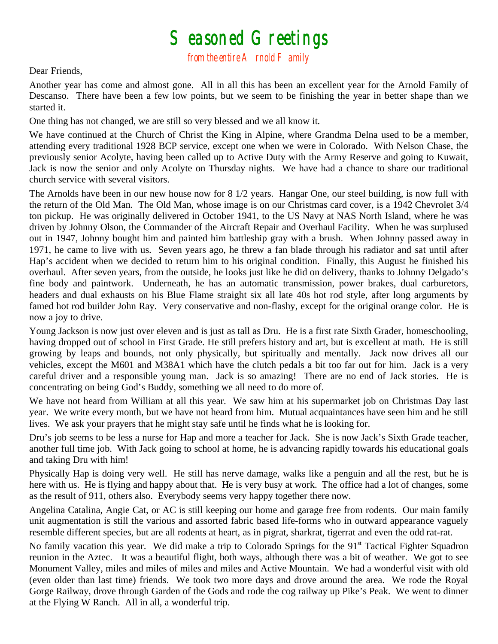## $S$ easoned Greetings<br>from the entire A rnold F amily

## Dear Friends,

Another year has come and almost gone. All in all this has been an excellent year for the Arnold Family of Descanso. There have been a few low points, but we seem to be finishing the year in better shape than we started it.

One thing has not changed, we are still so very blessed and we all know it.

We have continued at the Church of Christ the King in Alpine, where Grandma Delna used to be a member, attending every traditional 1928 BCP service, except one when we were in Colorado. With Nelson Chase, the previously senior Acolyte, having been called up to Active Duty with the Army Reserve and going to Kuwait, Jack is now the senior and only Acolyte on Thursday nights. We have had a chance to share our traditional church service with several visitors.

The Arnolds have been in our new house now for 8 1/2 years. Hangar One, our steel building, is now full with the return of the Old Man. The Old Man, whose image is on our Christmas card cover, is a 1942 Chevrolet 3/4 ton pickup. He was originally delivered in October 1941, to the US Navy at NAS North Island, where he was driven by Johnny Olson, the Commander of the Aircraft Repair and Overhaul Facility. When he was surplused out in 1947, Johnny bought him and painted him battleship gray with a brush. When Johnny passed away in 1971, he came to live with us. Seven years ago, he threw a fan blade through his radiator and sat until after Hap's accident when we decided to return him to his original condition. Finally, this August he finished his overhaul. After seven years, from the outside, he looks just like he did on delivery, thanks to Johnny Delgado's fine body and paintwork. Underneath, he has an automatic transmission, power brakes, dual carburetors, headers and dual exhausts on his Blue Flame straight six all late 40s hot rod style, after long arguments by famed hot rod builder John Ray. Very conservative and non-flashy, except for the original orange color. He is now a joy to drive.

Young Jackson is now just over eleven and is just as tall as Dru. He is a first rate Sixth Grader, homeschooling, having dropped out of school in First Grade. He still prefers history and art, but is excellent at math. He is still growing by leaps and bounds, not only physically, but spiritually and mentally. Jack now drives all our vehicles, except the M601 and M38A1 which have the clutch pedals a bit too far out for him. Jack is a very careful driver and a responsible young man. Jack is so amazing! There are no end of Jack stories. He is concentrating on being God's Buddy, something we all need to do more of.

We have not heard from William at all this year. We saw him at his supermarket job on Christmas Day last year. We write every month, but we have not heard from him. Mutual acquaintances have seen him and he still lives. We ask your prayers that he might stay safe until he finds what he is looking for.

Dru's job seems to be less a nurse for Hap and more a teacher for Jack. She is now Jack's Sixth Grade teacher, another full time job. With Jack going to school at home, he is advancing rapidly towards his educational goals and taking Dru with him!

Physically Hap is doing very well. He still has nerve damage, walks like a penguin and all the rest, but he is here with us. He is flying and happy about that. He is very busy at work. The office had a lot of changes, some as the result of 911, others also. Everybody seems very happy together there now.

Angelina Catalina, Angie Cat, or AC is still keeping our home and garage free from rodents. Our main family unit augmentation is still the various and assorted fabric based life-forms who in outward appearance vaguely resemble different species, but are all rodents at heart, as in pigrat, sharkrat, tigerrat and even the odd rat-rat.

No family vacation this year. We did make a trip to Colorado Springs for the 91<sup>st</sup> Tactical Fighter Squadron reunion in the Aztec. It was a beautiful flight, both ways, although there was a bit of weather. We got to see Monument Valley, miles and miles of miles and miles and Active Mountain. We had a wonderful visit with old (even older than last time) friends. We took two more days and drove around the area. We rode the Royal Gorge Railway, drove through Garden of the Gods and rode the cog railway up Pike's Peak. We went to dinner at the Flying W Ranch. All in all, a wonderful trip.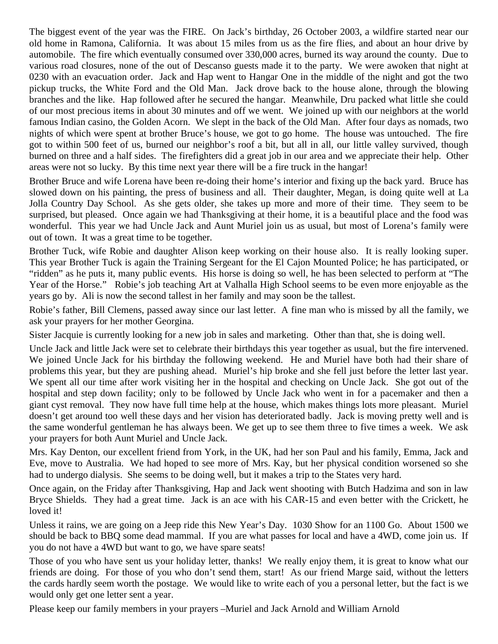The biggest event of the year was the FIRE. On Jack's birthday, 26 October 2003, a wildfire started near our old home in Ramona, California. It was about 15 miles from us as the fire flies, and about an hour drive by automobile. The fire which eventually consumed over 330,000 acres, burned its way around the county. Due to various road closures, none of the out of Descanso guests made it to the party. We were awoken that night at 0230 with an evacuation order. Jack and Hap went to Hangar One in the middle of the night and got the two pickup trucks, the White Ford and the Old Man. Jack drove back to the house alone, through the blowing branches and the like. Hap followed after he secured the hangar. Meanwhile, Dru packed what little she could of our most precious items in about 30 minutes and off we went. We joined up with our neighbors at the world famous Indian casino, the Golden Acorn. We slept in the back of the Old Man. After four days as nomads, two nights of which were spent at brother Bruce's house, we got to go home. The house was untouched. The fire got to within 500 feet of us, burned our neighbor's roof a bit, but all in all, our little valley survived, though burned on three and a half sides. The firefighters did a great job in our area and we appreciate their help. Other areas were not so lucky. By this time next year there will be a fire truck in the hangar!

Brother Bruce and wife Lorena have been re-doing their home's interior and fixing up the back yard. Bruce has slowed down on his painting, the press of business and all. Their daughter, Megan, is doing quite well at La Jolla Country Day School. As she gets older, she takes up more and more of their time. They seem to be surprised, but pleased. Once again we had Thanksgiving at their home, it is a beautiful place and the food was wonderful. This year we had Uncle Jack and Aunt Muriel join us as usual, but most of Lorena's family were out of town. It was a great time to be together.

Brother Tuck, wife Robie and daughter Alison keep working on their house also. It is really looking super. This year Brother Tuck is again the Training Sergeant for the El Cajon Mounted Police; he has participated, or "ridden" as he puts it, many public events. His horse is doing so well, he has been selected to perform at "The Year of the Horse." Robie's job teaching Art at Valhalla High School seems to be even more enjoyable as the years go by. Ali is now the second tallest in her family and may soon be the tallest.

Robie's father, Bill Clemens, passed away since our last letter. A fine man who is missed by all the family, we ask your prayers for her mother Georgina.

Sister Jacquie is currently looking for a new job in sales and marketing. Other than that, she is doing well.

Uncle Jack and little Jack were set to celebrate their birthdays this year together as usual, but the fire intervened. We joined Uncle Jack for his birthday the following weekend. He and Muriel have both had their share of problems this year, but they are pushing ahead. Muriel's hip broke and she fell just before the letter last year. We spent all our time after work visiting her in the hospital and checking on Uncle Jack. She got out of the hospital and step down facility; only to be followed by Uncle Jack who went in for a pacemaker and then a giant cyst removal. They now have full time help at the house, which makes things lots more pleasant. Muriel doesn't get around too well these days and her vision has deteriorated badly. Jack is moving pretty well and is the same wonderful gentleman he has always been. We get up to see them three to five times a week. We ask your prayers for both Aunt Muriel and Uncle Jack.

Mrs. Kay Denton, our excellent friend from York, in the UK, had her son Paul and his family, Emma, Jack and Eve, move to Australia. We had hoped to see more of Mrs. Kay, but her physical condition worsened so she had to undergo dialysis. She seems to be doing well, but it makes a trip to the States very hard.

Once again, on the Friday after Thanksgiving, Hap and Jack went shooting with Butch Hadzima and son in law Bryce Shields. They had a great time. Jack is an ace with his CAR-15 and even better with the Crickett, he loved it!

Unless it rains, we are going on a Jeep ride this New Year's Day. 1030 Show for an 1100 Go. About 1500 we should be back to BBQ some dead mammal. If you are what passes for local and have a 4WD, come join us. If you do not have a 4WD but want to go, we have spare seats!

Those of you who have sent us your holiday letter, thanks! We really enjoy them, it is great to know what our friends are doing. For those of you who don't send them, start! As our friend Marge said, without the letters the cards hardly seem worth the postage. We would like to write each of you a personal letter, but the fact is we would only get one letter sent a year.

Please keep our family members in your prayers –Muriel and Jack Arnold and William Arnold